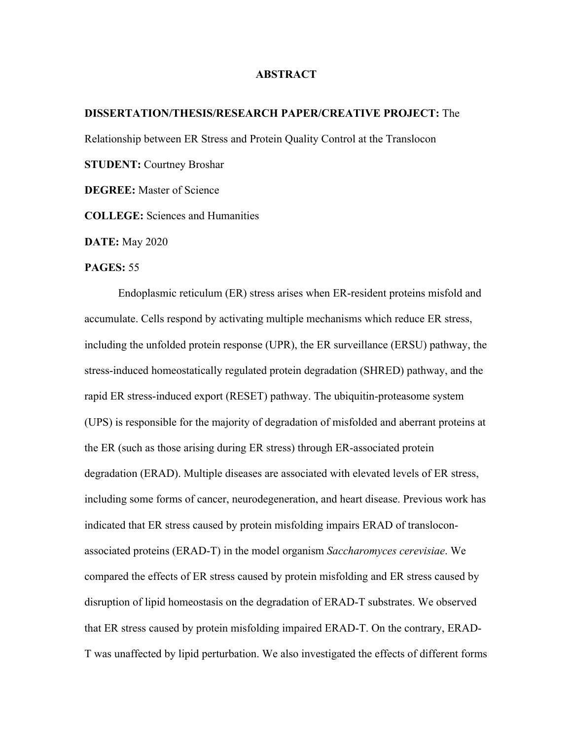## **ABSTRACT**

## **DISSERTATION/THESIS/RESEARCH PAPER/CREATIVE PROJECT:** The

Relationship between ER Stress and Protein Quality Control at the Translocon

**STUDENT:** Courtney Broshar

**DEGREE:** Master of Science

**COLLEGE:** Sciences and Humanities

**DATE:** May 2020

## **PAGES:** 55

Endoplasmic reticulum (ER) stress arises when ER-resident proteins misfold and accumulate. Cells respond by activating multiple mechanisms which reduce ER stress, including the unfolded protein response (UPR), the ER surveillance (ERSU) pathway, the stress-induced homeostatically regulated protein degradation (SHRED) pathway, and the rapid ER stress-induced export (RESET) pathway. The ubiquitin-proteasome system (UPS) is responsible for the majority of degradation of misfolded and aberrant proteins at the ER (such as those arising during ER stress) through ER-associated protein degradation (ERAD). Multiple diseases are associated with elevated levels of ER stress, including some forms of cancer, neurodegeneration, and heart disease. Previous work has indicated that ER stress caused by protein misfolding impairs ERAD of transloconassociated proteins (ERAD-T) in the model organism *Saccharomyces cerevisiae*. We compared the effects of ER stress caused by protein misfolding and ER stress caused by disruption of lipid homeostasis on the degradation of ERAD-T substrates. We observed that ER stress caused by protein misfolding impaired ERAD-T. On the contrary, ERAD-T was unaffected by lipid perturbation. We also investigated the effects of different forms